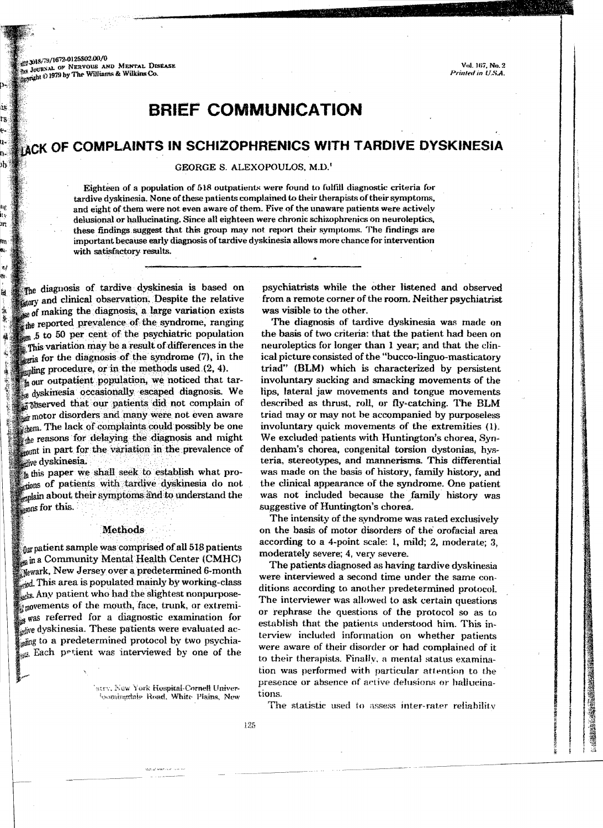39.3018/79/1672-0125\$02.00/0 JOURNAL OF NERVOUS AND MENTAL DISEASE seright 2) 1979 by The Williams & Wilkins Co.

## **BRIEF COMMUNICATION**

# ACK OF COMPLAINTS IN SCHIZOPHRENICS WITH TARDIVE DYSKINESIA

GEORGE S. ALEXOPOULOS, M.D.'

Eighteen of a population of 518 outpatients were found to fulfill diagnostic criteria for tardive dyskinesia. None of these patients complained to their therapists of their symptoms, and eight of them were not even aware of them. Five of the unaware patients were actively delusional or hallucinating. Since all eighteen were chronic schizophrenics on neuroleptics, these findings suggest that this group may not report their symptoms. The findings are important because early diagnosis of tardive dyskinesia allows more chance for intervention with satisfactory results.

The diagnosis of tardive dyskinesia is based on story and clinical observation. Despite the relative of making the diagnosis, a large variation exists the reported prevalence of the syndrome, ranging 5 to 50 per cent of the psychiatric population This variation may be a result of differences in the eria for the diagnosis of the syndrome (7), in the supling procedure, or in the methods used  $(2, 4)$ .

t<sub>h</sub> our outpatient population, we noticed that tardyskinesia occasionally escaped diagnosis. We observed that our patients did not complain of ir motor disorders and many were not even aware them. The lack of complaints could possibly be one the reasons for delaying the diagnosis and might mount in part for the variation in the prevalence of dive dyskinesia.

this paper we shall seek to establish what protions of patients with tardive dyskinesia do not anlain about their symptoms and to understand the sons for this.

## **Methods**

o<sub>n patient</sub> sample was comprised of all 518 patients in a Community Mental Health Center (CMHC) Newark, New Jersey over a predetermined 6-month and. This area is populated mainly by working-class sks. Any patient who had the slightest nonpurposemovements of the mouth, face, trunk, or extremi- $\mathcal{L}_{\mathbf{x}}$  was referred for a diagnostic examination for the dyskinesia. These patients were evaluated acsing to a predetermined protocol by two psychia-Each prtient was interviewed by one of the

> atry, New York Hospital-Cornell Univer-Comingdale Road, White Plains, New

psychiatrists while the other listened and observed from a remote corner of the room. Neither psychiatrist was visible to the other.

The diagnosis of tardive dyskinesia was made on the basis of two criteria: that the patient had been on neuroleptics for longer than 1 year; and that the clinical picture consisted of the "bucco-linguo-masticatory triad" (BLM) which is characterized by persistent involuntary sucking and smacking movements of the lips, lateral jaw movements and tongue movements described as thrust, roll, or fly-catching. The BLM triad may or may not be accompanied by purposeless involuntary quick movements of the extremities (1). We excluded patients with Huntington's chorea, Syndenham's chorea, congenital torsion dystonias, hysteria, stereotypes, and mannerisms. This differential was made on the basis of history, family history, and the clinical appearance of the syndrome. One patient was not included because the family history was suggestive of Huntington's chorea.

The intensity of the syndrome was rated exclusively on the basis of motor disorders of the orofacial area according to a 4-point scale: 1, mild; 2, moderate; 3, moderately severe; 4, very severe.

The patients diagnosed as having tardive dyskinesia were interviewed a second time under the same conditions according to another predetermined protocol. The interviewer was allowed to ask certain questions or rephrase the questions of the protocol so as to establish that the patients understood him. This interview included information on whether patients were aware of their disorder or had complained of it to their therapists. Finally, a mental status examination was performed with particular attention to the presence or absence of active delusions or hallucinations.

The statistic used to assess inter-rater reliability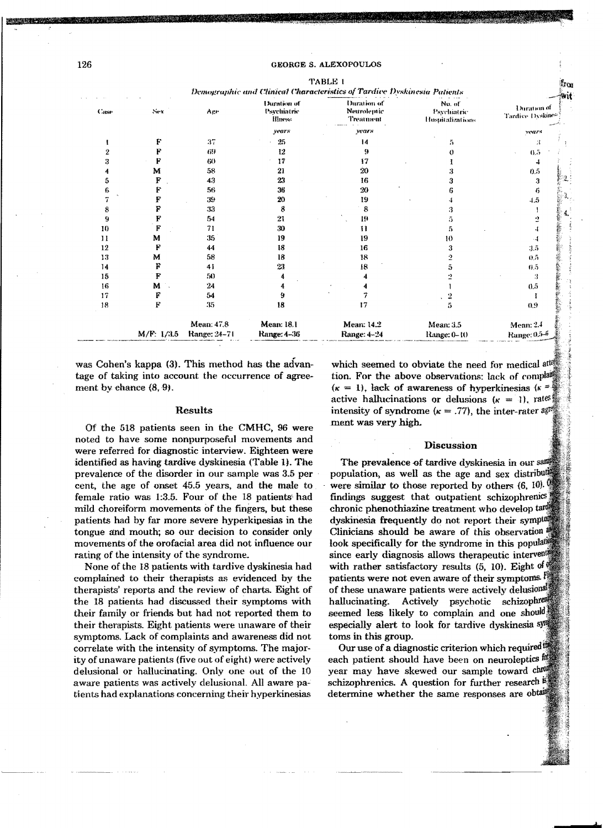## **GEORGE S. ALEXOPOULOS TABLE 1**

Demographic and Clinical Characteristics of Tardive Dyskinesia Patients Duration of Duration of No of Duration of Casa Sex Age Psychiatric Neurolentic Psychiatric Tardice Dyskite **HIness Treatment** Hospitalizations vears vears vear: F  $37$ 25  $\overline{14}$  $\bar{h}$  $\mathbf{r}$  $\mathbf{f}$  $\overline{P}$  $G<sub>2</sub>$  $12$ 9 9  $\theta$  $0.5$ 3  $\mathbf{F}$ 60  $17$  $17$  $\mathbf{r}$  $\mathbf{I}$ M 58 21 20  $\overline{a}$  $\mathbf{A}$  $0.5$  $\overline{5}$  $\mathbf{F}$ 43 23 16 3  $\bf{3}$ 6 F 56 36 20 6 6  $\mathbf{F}% _{0}$ 20 7 39 19  $4.5$  $\mathbf{I}$  $\mathbf F$ 33  $\boldsymbol{8}$ 8  $\mathcal{R}$  $\mathbf{a}$  $\overline{\mathbf{1}}$  $\mathbf F$ 21 -9 54 19 5  $\overline{2}$  $\mathbf{F}$ 71 30  $10$ -11  $\overline{\mathbf{5}}$  $\mathbf{I}$  $\mathbf{1}$ M 35 19 19 10  $\mathbf{I}$ F 18 12 44 16 3  $3.\overline{5}$ 13 M 58 18 18  $\overline{2}$  $0.5$ F  $14$ 41 23 18  $\tilde{5}$  $0.5$  $\mathbf F$ 15 50  $\overline{\mathbf{4}}$  $\overline{2}$ 4 -3 16 M  $24$  $\ddot{\mathbf{4}}$  $0.5$ 4  $\mathbf{1}$ F 9  $\overline{7}$  $17$ 54  $\frac{1}{2}$ I  $\mathbf F$ -35 18  $17$  $18$ ň 0.9 Mean: 47.8 **Mean: 18.1 Mean: 14.2** Mean: 3.5 Mean: 2.4 M/F: 1/3.5 Range: 24-71 Range: 4-36 Range: 4-24 Range: 0-10 Range: 0.5-6

was Cohen's kappa (3). This method has the advantage of taking into account the occurrence of agreement by chance  $(8, 9)$ .

## Results

Of the 518 patients seen in the CMHC, 96 were noted to have some nonpurposeful movements and were referred for diagnostic interview. Eighteen were identified as having tardive dyskinesia (Table 1). The prevalence of the disorder in our sample was 3.5 per cent, the age of onset 45.5 years, and the male to female ratio was 1:3.5. Four of the 18 patients had mild choreiform movements of the fingers, but these patients had by far more severe hyperkinesias in the tongue and mouth; so our decision to consider only movements of the orofacial area did not influence our rating of the intensity of the syndrome.

None of the 18 patients with tardive dyskinesia had complained to their therapists as evidenced by the therapists' reports and the review of charts. Eight of the 18 patients had discussed their symptoms with their family or friends but had not reported them to their therapists. Eight patients were unaware of their symptoms. Lack of complaints and awareness did not correlate with the intensity of symptoms. The majority of unaware patients (five out of eight) were actively delusional or hallucinating. Only one out of the 10 aware patients was actively delusional. All aware patients had explanations concerning their hyperkinesias

which seemed to obviate the need for medical at tion. For the above observations: lack of complared  $(\kappa = 1)$ , lack of awareness of hyperkinesias  $(\kappa = 1)$ active hallucinations or delusions  $(\kappa = 1)$ , rates intensity of syndrome ( $\kappa = .77$ ), the inter-rater agreement ment was very high.

## **Discussion**

The prevalence of tardive dyskinesia in our sample population, as well as the age and sex distributed were similar to those reported by others  $(6, 10)$ . findings suggest that outpatient schizophrenics chronic phenothiazine treatment who develop target dyskinesia frequently do not report their symptom Clinicians should be aware of this observation look specifically for the syndrome in this populate since early diagnosis allows therapeutic intervent with rather satisfactory results  $(5, 10)$ . Eight of patients were not even aware of their symptoms. of these unaware patients were actively delusional schizophrea hallucinating. Actively psychotic seemed less likely to complain and one should especially alert to look for tardive dyskinesia sym toms in this group.

Our use of a diagnostic criterion which required! each patient should have been on neuroleptics year may have skewed our sample toward ching schizophrenics. A question for further research <sup>5</sup> determine whether the same responses are obtain

a.<br>Tari